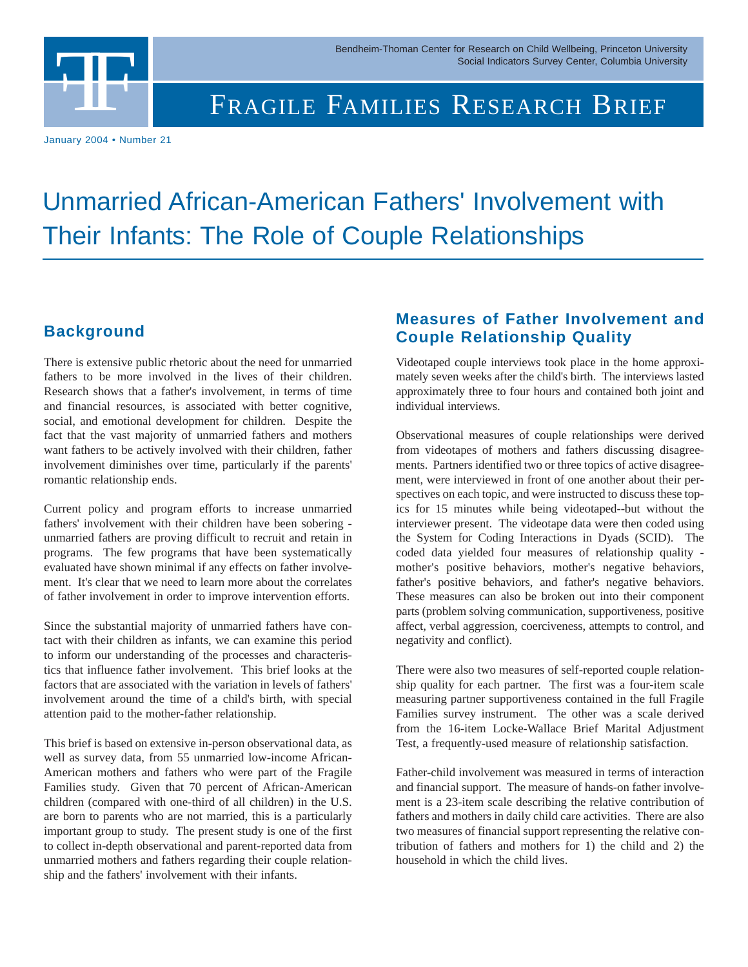Bendheim-Thoman Center for Research on Child Wellbeing, Princeton University Social Indicators Survey Center, Columbia University

# FRAGILE FAMILIES RESEARCH BRIEF

January 2004 • Number 21

FF

# Unmarried African-American Fathers' Involvement with Their Infants: The Role of Couple Relationships

#### **Background**

There is extensive public rhetoric about the need for unmarried fathers to be more involved in the lives of their children. Research shows that a father's involvement, in terms of time and financial resources, is associated with better cognitive, social, and emotional development for children. Despite the fact that the vast majority of unmarried fathers and mothers want fathers to be actively involved with their children, father involvement diminishes over time, particularly if the parents' romantic relationship ends.

Current policy and program efforts to increase unmarried fathers' involvement with their children have been sobering unmarried fathers are proving difficult to recruit and retain in programs. The few programs that have been systematically evaluated have shown minimal if any effects on father involvement. It's clear that we need to learn more about the correlates of father involvement in order to improve intervention efforts.

Since the substantial majority of unmarried fathers have contact with their children as infants, we can examine this period to inform our understanding of the processes and characteristics that influence father involvement. This brief looks at the factors that are associated with the variation in levels of fathers' involvement around the time of a child's birth, with special attention paid to the mother-father relationship.

This brief is based on extensive in-person observational data, as well as survey data, from 55 unmarried low-income African-American mothers and fathers who were part of the Fragile Families study. Given that 70 percent of African-American children (compared with one-third of all children) in the U.S. are born to parents who are not married, this is a particularly important group to study. The present study is one of the first to collect in-depth observational and parent-reported data from unmarried mothers and fathers regarding their couple relationship and the fathers' involvement with their infants.

### **Measures of Father Involvement and Couple Relationship Quality**

Videotaped couple interviews took place in the home approximately seven weeks after the child's birth. The interviews lasted approximately three to four hours and contained both joint and individual interviews.

Observational measures of couple relationships were derived from videotapes of mothers and fathers discussing disagreements. Partners identified two or three topics of active disagreement, were interviewed in front of one another about their perspectives on each topic, and were instructed to discuss these topics for 15 minutes while being videotaped--but without the interviewer present. The videotape data were then coded using the System for Coding Interactions in Dyads (SCID). The coded data yielded four measures of relationship quality mother's positive behaviors, mother's negative behaviors, father's positive behaviors, and father's negative behaviors. These measures can also be broken out into their component parts (problem solving communication, supportiveness, positive affect, verbal aggression, coerciveness, attempts to control, and negativity and conflict).

There were also two measures of self-reported couple relationship quality for each partner. The first was a four-item scale measuring partner supportiveness contained in the full Fragile Families survey instrument. The other was a scale derived from the 16-item Locke-Wallace Brief Marital Adjustment Test, a frequently-used measure of relationship satisfaction.

Father-child involvement was measured in terms of interaction and financial support. The measure of hands-on father involvement is a 23-item scale describing the relative contribution of fathers and mothers in daily child care activities. There are also two measures of financial support representing the relative contribution of fathers and mothers for 1) the child and 2) the household in which the child lives.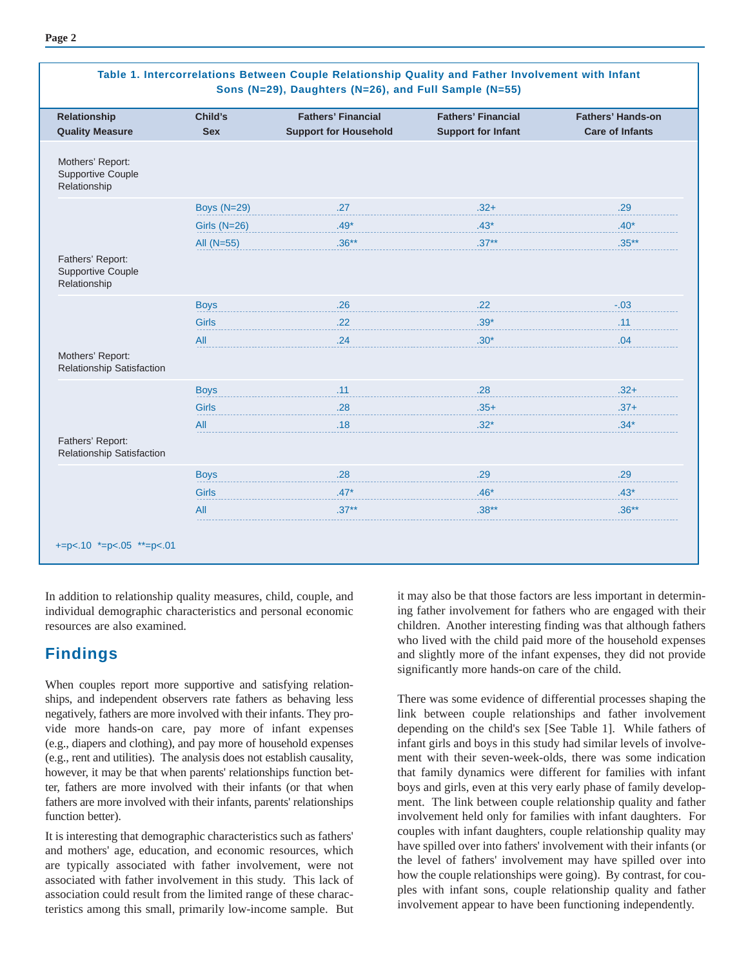| rable 1. Intercorrelations between Couple Relationship Quality and Father involvement with imant<br>Sons (N=29), Daughters (N=26), and Full Sample (N=55) |                       |                                                           |                                                        |                                                    |
|-----------------------------------------------------------------------------------------------------------------------------------------------------------|-----------------------|-----------------------------------------------------------|--------------------------------------------------------|----------------------------------------------------|
| Relationship<br><b>Quality Measure</b>                                                                                                                    | Child's<br><b>Sex</b> | <b>Fathers' Financial</b><br><b>Support for Household</b> | <b>Fathers' Financial</b><br><b>Support for Infant</b> | <b>Fathers' Hands-on</b><br><b>Care of Infants</b> |
| Mothers' Report:<br>Supportive Couple<br>Relationship                                                                                                     |                       |                                                           |                                                        |                                                    |
|                                                                                                                                                           | <b>Boys (N=29)</b>    | .27                                                       | $.32+$                                                 | .29                                                |
|                                                                                                                                                           | Girls $(N=26)$        | $.49*$                                                    | $.43*$                                                 | $.40*$                                             |
|                                                                                                                                                           | All (N=55)            | $.36**$                                                   | $.37***$                                               | $.35***$                                           |
| Fathers' Report:<br><b>Supportive Couple</b><br>Relationship                                                                                              |                       |                                                           |                                                        |                                                    |
|                                                                                                                                                           | <b>Boys</b>           | .26                                                       | .22                                                    | $-.03$                                             |
|                                                                                                                                                           | <b>Girls</b>          | .22                                                       | $.39*$                                                 | .11                                                |
|                                                                                                                                                           | All                   | .24                                                       | $.30*$                                                 | .04                                                |
| Mothers' Report:<br>Relationship Satisfaction                                                                                                             |                       |                                                           |                                                        |                                                    |
|                                                                                                                                                           | <b>Boys</b>           | .11                                                       | .28                                                    | $.32+$                                             |
|                                                                                                                                                           | Girls                 | .28                                                       | $.35+$                                                 | $.37+$                                             |
|                                                                                                                                                           | All                   | .18                                                       | $.32*$                                                 | $.34*$                                             |
| Fathers' Report:<br>Relationship Satisfaction                                                                                                             |                       |                                                           |                                                        |                                                    |
|                                                                                                                                                           | <b>Boys</b>           | .28                                                       | .29                                                    | .29                                                |
|                                                                                                                                                           | <b>Girls</b>          | $.47*$                                                    | $.46*$                                                 | $.43*$                                             |
|                                                                                                                                                           | All                   | $.37***$                                                  | $.38***$                                               | $.36***$                                           |
| $+=p<.10$ *=p<.05 **=p<.01                                                                                                                                |                       |                                                           |                                                        |                                                    |

**Table 1. Intercorrelations Between Couple Relationship Quality and Father Involvement with Infant** 

In addition to relationship quality measures, child, couple, and individual demographic characteristics and personal economic resources are also examined.

## **Findings**

When couples report more supportive and satisfying relationships, and independent observers rate fathers as behaving less negatively, fathers are more involved with their infants. They provide more hands-on care, pay more of infant expenses (e.g., diapers and clothing), and pay more of household expenses (e.g., rent and utilities). The analysis does not establish causality, however, it may be that when parents' relationships function better, fathers are more involved with their infants (or that when fathers are more involved with their infants, parents' relationships function better).

It is interesting that demographic characteristics such as fathers' and mothers' age, education, and economic resources, which are typically associated with father involvement, were not associated with father involvement in this study. This lack of association could result from the limited range of these characteristics among this small, primarily low-income sample. But

it may also be that those factors are less important in determining father involvement for fathers who are engaged with their children. Another interesting finding was that although fathers who lived with the child paid more of the household expenses and slightly more of the infant expenses, they did not provide significantly more hands-on care of the child.

There was some evidence of differential processes shaping the link between couple relationships and father involvement depending on the child's sex [See Table 1]. While fathers of infant girls and boys in this study had similar levels of involvement with their seven-week-olds, there was some indication that family dynamics were different for families with infant boys and girls, even at this very early phase of family development. The link between couple relationship quality and father involvement held only for families with infant daughters. For couples with infant daughters, couple relationship quality may have spilled over into fathers' involvement with their infants (or the level of fathers' involvement may have spilled over into how the couple relationships were going). By contrast, for couples with infant sons, couple relationship quality and father involvement appear to have been functioning independently.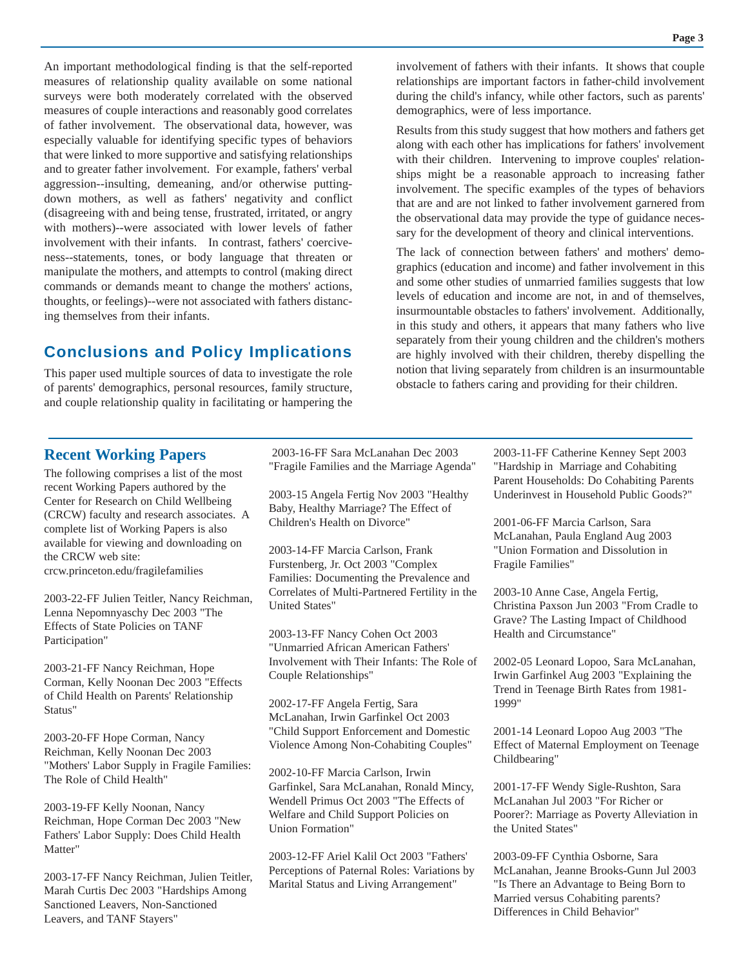An important methodological finding is that the self-reported measures of relationship quality available on some national surveys were both moderately correlated with the observed measures of couple interactions and reasonably good correlates of father involvement. The observational data, however, was especially valuable for identifying specific types of behaviors that were linked to more supportive and satisfying relationships and to greater father involvement. For example, fathers' verbal aggression--insulting, demeaning, and/or otherwise puttingdown mothers, as well as fathers' negativity and conflict (disagreeing with and being tense, frustrated, irritated, or angry with mothers)--were associated with lower levels of father involvement with their infants. In contrast, fathers' coerciveness--statements, tones, or body language that threaten or manipulate the mothers, and attempts to control (making direct commands or demands meant to change the mothers' actions, thoughts, or feelings)--were not associated with fathers distancing themselves from their infants.

### **Conclusions and Policy Implications**

This paper used multiple sources of data to investigate the role of parents' demographics, personal resources, family structure, and couple relationship quality in facilitating or hampering the involvement of fathers with their infants. It shows that couple relationships are important factors in father-child involvement during the child's infancy, while other factors, such as parents' demographics, were of less importance.

Results from this study suggest that how mothers and fathers get along with each other has implications for fathers' involvement with their children. Intervening to improve couples' relationships might be a reasonable approach to increasing father involvement. The specific examples of the types of behaviors that are and are not linked to father involvement garnered from the observational data may provide the type of guidance necessary for the development of theory and clinical interventions.

The lack of connection between fathers' and mothers' demographics (education and income) and father involvement in this and some other studies of unmarried families suggests that low levels of education and income are not, in and of themselves, insurmountable obstacles to fathers' involvement. Additionally, in this study and others, it appears that many fathers who live separately from their young children and the children's mothers are highly involved with their children, thereby dispelling the notion that living separately from children is an insurmountable obstacle to fathers caring and providing for their children.

#### **Recent Working Papers**

The following comprises a list of the most recent Working Papers authored by the Center for Research on Child Wellbeing (CRCW) faculty and research associates. A complete list of Working Papers is also available for viewing and downloading on the CRCW web site: crcw.princeton.edu/fragilefamilies

2003-22-FF Julien Teitler, Nancy Reichman, Lenna Nepomnyaschy Dec 2003 "The Effects of State Policies on TANF Participation"

2003-21-FF Nancy Reichman, Hope Corman, Kelly Noonan Dec 2003 "Effects of Child Health on Parents' Relationship Status"

2003-20-FF Hope Corman, Nancy Reichman, Kelly Noonan Dec 2003 "Mothers' Labor Supply in Fragile Families: The Role of Child Health"

2003-19-FF Kelly Noonan, Nancy Reichman, Hope Corman Dec 2003 "New Fathers' Labor Supply: Does Child Health Matter"

2003-17-FF Nancy Reichman, Julien Teitler, Marah Curtis Dec 2003 "Hardships Among Sanctioned Leavers, Non-Sanctioned Leavers, and TANF Stayers"

2003-16-FF Sara McLanahan Dec 2003 "Fragile Families and the Marriage Agenda"

2003-15 Angela Fertig Nov 2003 "Healthy Baby, Healthy Marriage? The Effect of Children's Health on Divorce"

2003-14-FF Marcia Carlson, Frank Furstenberg, Jr. Oct 2003 "Complex Families: Documenting the Prevalence and Correlates of Multi-Partnered Fertility in the United States"

2003-13-FF Nancy Cohen Oct 2003 "Unmarried African American Fathers' Involvement with Their Infants: The Role of Couple Relationships"

2002-17-FF Angela Fertig, Sara McLanahan, Irwin Garfinkel Oct 2003 "Child Support Enforcement and Domestic Violence Among Non-Cohabiting Couples"

2002-10-FF Marcia Carlson, Irwin Garfinkel, Sara McLanahan, Ronald Mincy, Wendell Primus Oct 2003 "The Effects of Welfare and Child Support Policies on Union Formation"

2003-12-FF Ariel Kalil Oct 2003 "Fathers' Perceptions of Paternal Roles: Variations by Marital Status and Living Arrangement"

2003-11-FF Catherine Kenney Sept 2003 "Hardship in Marriage and Cohabiting Parent Households: Do Cohabiting Parents Underinvest in Household Public Goods?"

2001-06-FF Marcia Carlson, Sara McLanahan, Paula England Aug 2003 "Union Formation and Dissolution in Fragile Families"

2003-10 Anne Case, Angela Fertig, Christina Paxson Jun 2003 "From Cradle to Grave? The Lasting Impact of Childhood Health and Circumstance"

2002-05 Leonard Lopoo, Sara McLanahan, Irwin Garfinkel Aug 2003 "Explaining the Trend in Teenage Birth Rates from 1981- 1999"

2001-14 Leonard Lopoo Aug 2003 "The Effect of Maternal Employment on Teenage Childbearing"

2001-17-FF Wendy Sigle-Rushton, Sara McLanahan Jul 2003 "For Richer or Poorer?: Marriage as Poverty Alleviation in the United States"

2003-09-FF Cynthia Osborne, Sara McLanahan, Jeanne Brooks-Gunn Jul 2003 "Is There an Advantage to Being Born to Married versus Cohabiting parents? Differences in Child Behavior"